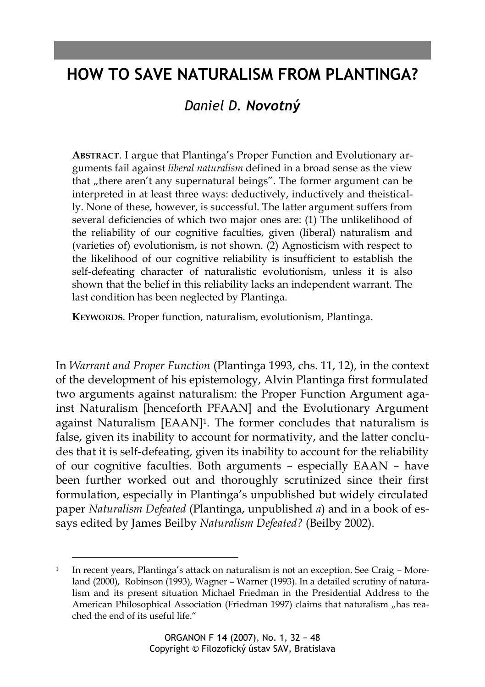# **HOW TO SAVE NATURALISM FROM PLANTINGA?**

# *Daniel D. Novotný*

**ABSTRACT**. I argue that Plantinga's Proper Function and Evolutionary arguments fail against *liberal naturalism* defined in a broad sense as the view that "there aren't any supernatural beings". The former argument can be interpreted in at least three ways: deductively, inductively and theistically. None of these, however, is successful. The latter argument suffers from several deficiencies of which two major ones are: (1) The unlikelihood of the reliability of our cognitive faculties, given (liberal) naturalism and (varieties of) evolutionism, is not shown. (2) Agnosticism with respect to the likelihood of our cognitive reliability is insufficient to establish the self-defeating character of naturalistic evolutionism, unless it is also shown that the belief in this reliability lacks an independent warrant. The last condition has been neglected by Plantinga.

**KEYWORDS**. Proper function, naturalism, evolutionism, Plantinga.

In *Warrant and Proper Function* (Plantinga 1993, chs. 11, 12), in the context of the development of his epistemology, Alvin Plantinga first formulated two arguments against naturalism: the Proper Function Argument against Naturalism [henceforth PFAAN] and the Evolutionary Argument against Naturalism [EAAN]<sup>1</sup> . The former concludes that naturalism is false, given its inability to account for normativity, and the latter concludes that it is self-defeating, given its inability to account for the reliability of our cognitive faculties. Both arguments – especially EAAN – have been further worked out and thoroughly scrutinized since their first formulation, especially in Plantinga's unpublished but widely circulated paper *Naturalism Defeated* (Plantinga, unpublished *a*) and in a book of essays edited by James Beilby *Naturalism Defeated?* (Beilby 2002).

<sup>1</sup> In recent years, Plantinga's attack on naturalism is not an exception. See Craig – Moreland (2000), Robinson (1993), Wagner – Warner (1993). In a detailed scrutiny of naturalism and its present situation Michael Friedman in the Presidential Address to the American Philosophical Association (Friedman 1997) claims that naturalism "has reached the end of its useful life."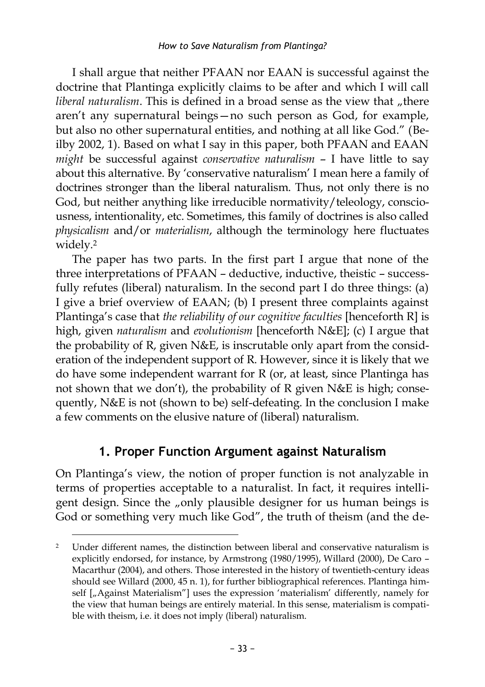I shall argue that neither PFAAN nor EAAN is successful against the doctrine that Plantinga explicitly claims to be after and which I will call *liberal naturalism*. This is defined in a broad sense as the view that "there aren't any supernatural beings—no such person as God, for example, but also no other supernatural entities, and nothing at all like God." (Beilby 2002, 1). Based on what I say in this paper, both PFAAN and EAAN *might* be successful against *conservative naturalism* – I have little to say about this alternative. By 'conservative naturalism' I mean here a family of doctrines stronger than the liberal naturalism. Thus, not only there is no God, but neither anything like irreducible normativity/teleology, consciousness, intentionality, etc. Sometimes, this family of doctrines is also called *physicalism* and/or *materialism*, although the terminology here fluctuates widely. 2

The paper has two parts. In the first part I argue that none of the three interpretations of PFAAN – deductive, inductive, theistic – successfully refutes (liberal) naturalism. In the second part I do three things: (a) I give a brief overview of EAAN; (b) I present three complaints against Plantinga's case that *the reliability of our cognitive faculties* [henceforth R] is high, given *naturalism* and *evolutionism* [henceforth N&E]; (c) I argue that the probability of R, given N&E, is inscrutable only apart from the consideration of the independent support of R. However, since it is likely that we do have some independent warrant for R (or, at least, since Plantinga has not shown that we don't), the probability of R given N&E is high; consequently, N&E is not (shown to be) self-defeating. In the conclusion I make a few comments on the elusive nature of (liberal) naturalism.

## **1. Proper Function Argument against Naturalism**

On Plantinga's view, the notion of proper function is not analyzable in terms of properties acceptable to a naturalist. In fact, it requires intelligent design. Since the "only plausible designer for us human beings is God or something very much like God", the truth of theism (and the de-

<sup>2</sup> Under different names, the distinction between liberal and conservative naturalism is explicitly endorsed, for instance, by Armstrong (1980/1995), Willard (2000), De Caro – Macarthur (2004), and others. Those interested in the history of twentieth-century ideas should see Willard (2000, 45 n. 1), for further bibliographical references. Plantinga himself  $\left[\right]_n$ Against Materialism"] uses the expression 'materialism' differently, namely for the view that human beings are entirely material. In this sense, materialism is compatible with theism, i.e. it does not imply (liberal) naturalism.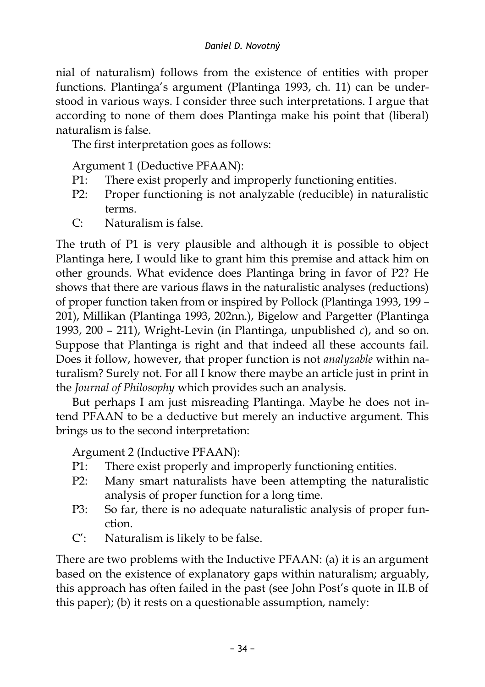nial of naturalism) follows from the existence of entities with proper functions. Plantinga's argument (Plantinga 1993, ch. 11) can be understood in various ways. I consider three such interpretations. I argue that according to none of them does Plantinga make his point that (liberal) naturalism is false.

The first interpretation goes as follows:

Argument 1 (Deductive PFAAN):

- P1: There exist properly and improperly functioning entities.
- P2: Proper functioning is not analyzable (reducible) in naturalistic terms.
- C: Naturalism is false.

The truth of P1 is very plausible and although it is possible to object Plantinga here, I would like to grant him this premise and attack him on other grounds. What evidence does Plantinga bring in favor of P2? He shows that there are various flaws in the naturalistic analyses (reductions) of proper function taken from or inspired by Pollock (Plantinga 1993, 199 – 201), Millikan (Plantinga 1993, 202nn.), Bigelow and Pargetter (Plantinga 1993, 200 – 211), Wright-Levin (in Plantinga, unpublished *c*), and so on. Suppose that Plantinga is right and that indeed all these accounts fail. Does it follow, however, that proper function is not *analyzable* within naturalism? Surely not. For all I know there maybe an article just in print in the *Journal of Philosophy* which provides such an analysis.

But perhaps I am just misreading Plantinga. Maybe he does not intend PFAAN to be a deductive but merely an inductive argument. This brings us to the second interpretation:

Argument 2 (Inductive PFAAN):

- P1: There exist properly and improperly functioning entities.
- P2: Many smart naturalists have been attempting the naturalistic analysis of proper function for a long time.
- P3: So far, there is no adequate naturalistic analysis of proper function.
- C': Naturalism is likely to be false.

There are two problems with the Inductive PFAAN: (a) it is an argument based on the existence of explanatory gaps within naturalism; arguably, this approach has often failed in the past (see John Post's quote in II.B of this paper); (b) it rests on a questionable assumption, namely: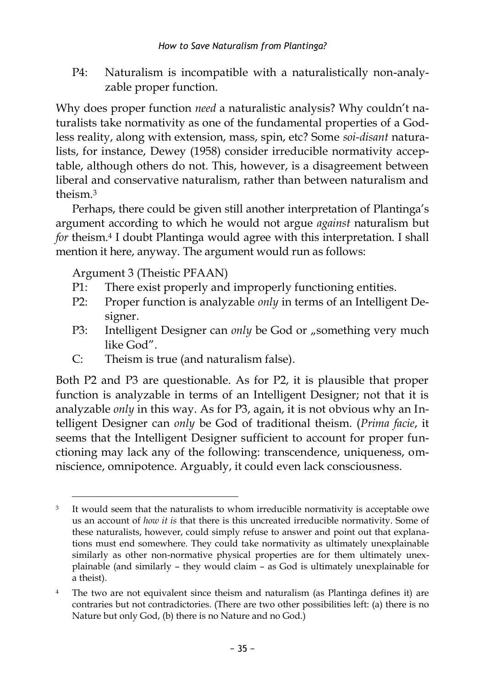P4: Naturalism is incompatible with a naturalistically non-analyzable proper function.

Why does proper function *need* a naturalistic analysis? Why couldn't naturalists take normativity as one of the fundamental properties of a Godless reality, along with extension, mass, spin, etc? Some *soi-disant* naturalists, for instance, Dewey (1958) consider irreducible normativity acceptable, although others do not. This, however, is a disagreement between liberal and conservative naturalism, rather than between naturalism and theism. 3

Perhaps, there could be given still another interpretation of Plantinga's argument according to which he would not argue *against* naturalism but *for* theism. 4 I doubt Plantinga would agree with this interpretation. I shall mention it here, anyway. The argument would run as follows:

Argument 3 (Theistic PFAAN)

 $\overline{a}$ 

- P1: There exist properly and improperly functioning entities.
- P2: Proper function is analyzable *only* in terms of an Intelligent Designer.
- P3: Intelligent Designer can *only* be God or "something very much like God".
- C: Theism is true (and naturalism false).

Both P2 and P3 are questionable. As for P2, it is plausible that proper function is analyzable in terms of an Intelligent Designer; not that it is analyzable *only* in this way. As for P3, again, it is not obvious why an Intelligent Designer can *only* be God of traditional theism. (*Prima facie*, it seems that the Intelligent Designer sufficient to account for proper functioning may lack any of the following: transcendence, uniqueness, omniscience, omnipotence. Arguably, it could even lack consciousness.

It would seem that the naturalists to whom irreducible normativity is acceptable owe us an account of *how it is* that there is this uncreated irreducible normativity. Some of these naturalists, however, could simply refuse to answer and point out that explanations must end somewhere. They could take normativity as ultimately unexplainable similarly as other non-normative physical properties are for them ultimately unexplainable (and similarly – they would claim – as God is ultimately unexplainable for a theist).

<sup>4</sup> The two are not equivalent since theism and naturalism (as Plantinga defines it) are contraries but not contradictories. (There are two other possibilities left: (a) there is no Nature but only God, (b) there is no Nature and no God.)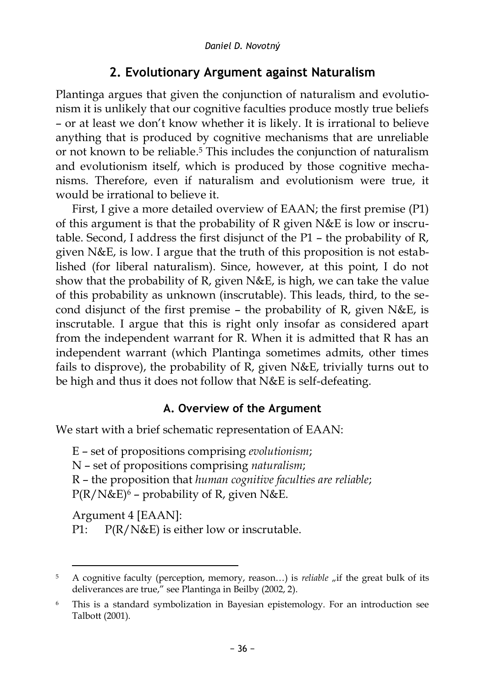# **2. Evolutionary Argument against Naturalism**

Plantinga argues that given the conjunction of naturalism and evolutionism it is unlikely that our cognitive faculties produce mostly true beliefs – or at least we don't know whether it is likely. It is irrational to believe anything that is produced by cognitive mechanisms that are unreliable or not known to be reliable. <sup>5</sup> This includes the conjunction of naturalism and evolutionism itself, which is produced by those cognitive mechanisms. Therefore, even if naturalism and evolutionism were true, it would be irrational to believe it.

First, I give a more detailed overview of EAAN; the first premise (P1) of this argument is that the probability of R given N&E is low or inscrutable. Second, I address the first disjunct of the P1 – the probability of R, given N&E, is low. I argue that the truth of this proposition is not established (for liberal naturalism). Since, however, at this point, I do not show that the probability of R, given N&E, is high, we can take the value of this probability as unknown (inscrutable). This leads, third, to the second disjunct of the first premise – the probability of R, given N&E, is inscrutable. I argue that this is right only insofar as considered apart from the independent warrant for R. When it is admitted that R has an independent warrant (which Plantinga sometimes admits, other times fails to disprove), the probability of R, given N&E, trivially turns out to be high and thus it does not follow that N&E is self-defeating.

### **A. Overview of the Argument**

We start with a brief schematic representation of EAAN:

E – set of propositions comprising *evolutionism*; N – set of propositions comprising *naturalism*; R – the proposition that *human cognitive faculties are reliable*;  $P(R/N\&E)^6$  – probability of R, given N&E.

Argument 4 [EAAN]:

 $\overline{a}$ 

P1:  $P(R/N&E)$  is either low or inscrutable.

<sup>5</sup> A cognitive faculty (perception, memory, reason...) is *reliable* "if the great bulk of its deliverances are true," see Plantinga in Beilby (2002, 2).

<sup>6</sup> This is a standard symbolization in Bayesian epistemology. For an introduction see Talbott (2001).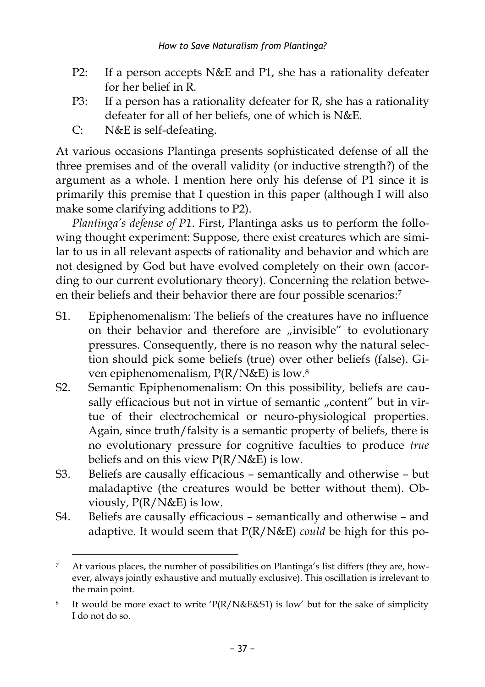- P2: If a person accepts N&E and P1, she has a rationality defeater for her belief in R.
- P3: If a person has a rationality defeater for R, she has a rationality defeater for all of her beliefs, one of which is N&E.
- C: N&E is self-defeating.

At various occasions Plantinga presents sophisticated defense of all the three premises and of the overall validity (or inductive strength?) of the argument as a whole. I mention here only his defense of P1 since it is primarily this premise that I question in this paper (although I will also make some clarifying additions to P2).

*Plantinga's defense of P1*. First, Plantinga asks us to perform the following thought experiment: Suppose, there exist creatures which are similar to us in all relevant aspects of rationality and behavior and which are not designed by God but have evolved completely on their own (according to our current evolutionary theory). Concerning the relation between their beliefs and their behavior there are four possible scenarios: 7

- S1. Epiphenomenalism: The beliefs of the creatures have no influence on their behavior and therefore are "invisible" to evolutionary pressures. Consequently, there is no reason why the natural selection should pick some beliefs (true) over other beliefs (false). Given epiphenomenalism, P(R/N&E) is low. 8
- S2. Semantic Epiphenomenalism: On this possibility, beliefs are causally efficacious but not in virtue of semantic "content" but in virtue of their electrochemical or neuro-physiological properties. Again, since truth/falsity is a semantic property of beliefs, there is no evolutionary pressure for cognitive faculties to produce *true* beliefs and on this view  $P(R/N\&E)$  is low.
- S3. Beliefs are causally efficacious semantically and otherwise but maladaptive (the creatures would be better without them). Obviously, P(R/N&E) is low.
- S4. Beliefs are causally efficacious semantically and otherwise and adaptive. It would seem that P(R/N&E) *could* be high for this po-

 $\overline{a}$ 7 At various places, the number of possibilities on Plantinga's list differs (they are, however, always jointly exhaustive and mutually exclusive). This oscillation is irrelevant to the main point.

<sup>8</sup> It would be more exact to write ' $P(R/N\&E\&S1)$  is low' but for the sake of simplicity I do not do so.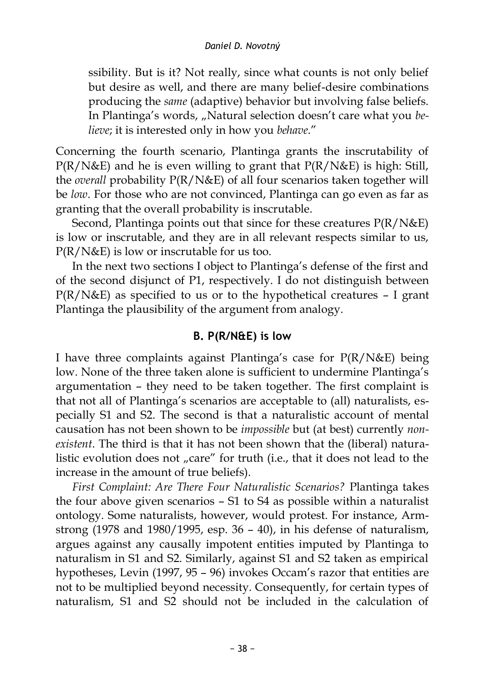ssibility. But is it? Not really, since what counts is not only belief but desire as well, and there are many belief-desire combinations producing the *same* (adaptive) behavior but involving false beliefs. In Plantinga's words, "Natural selection doesn't care what you be*lieve*; it is interested only in how you *behave*."

Concerning the fourth scenario, Plantinga grants the inscrutability of  $P(R/N\&E)$  and he is even willing to grant that  $P(R/N\&E)$  is high: Still, the *overall* probability P(R/N&E) of all four scenarios taken together will be *low*. For those who are not convinced, Plantinga can go even as far as granting that the overall probability is inscrutable.

Second, Plantinga points out that since for these creatures P(R/N&E) is low or inscrutable, and they are in all relevant respects similar to us, P(R/N&E) is low or inscrutable for us too.

In the next two sections I object to Plantinga's defense of the first and of the second disjunct of P1, respectively. I do not distinguish between  $P(R/N\&E)$  as specified to us or to the hypothetical creatures – I grant Plantinga the plausibility of the argument from analogy.

### **B. P(R/N&E) is low**

I have three complaints against Plantinga's case for P(R/N&E) being low. None of the three taken alone is sufficient to undermine Plantinga's argumentation – they need to be taken together. The first complaint is that not all of Plantinga's scenarios are acceptable to (all) naturalists, especially S1 and S2. The second is that a naturalistic account of mental causation has not been shown to be *impossible* but (at best) currently *nonexistent*. The third is that it has not been shown that the (liberal) naturalistic evolution does not "care" for truth (i.e., that it does not lead to the increase in the amount of true beliefs).

*First Complaint: Are There Four Naturalistic Scenarios?* Plantinga takes the four above given scenarios – S1 to S4 as possible within a naturalist ontology. Some naturalists, however, would protest. For instance, Armstrong (1978 and 1980/1995, esp. 36 – 40), in his defense of naturalism, argues against any causally impotent entities imputed by Plantinga to naturalism in S1 and S2. Similarly, against S1 and S2 taken as empirical hypotheses, Levin (1997, 95 – 96) invokes Occam's razor that entities are not to be multiplied beyond necessity. Consequently, for certain types of naturalism, S1 and S2 should not be included in the calculation of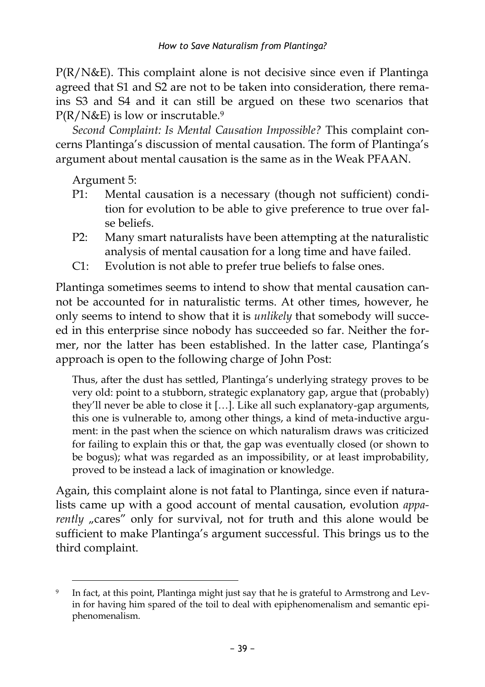P(R/N&E). This complaint alone is not decisive since even if Plantinga agreed that S1 and S2 are not to be taken into consideration, there remains S3 and S4 and it can still be argued on these two scenarios that P(R/N&E) is low or inscrutable. 9

*Second Complaint: Is Mental Causation Impossible?* This complaint concerns Plantinga's discussion of mental causation. The form of Plantinga's argument about mental causation is the same as in the Weak PFAAN.

Argument 5:

- P1: Mental causation is a necessary (though not sufficient) condition for evolution to be able to give preference to true over false beliefs.
- P2: Many smart naturalists have been attempting at the naturalistic analysis of mental causation for a long time and have failed.
- C1: Evolution is not able to prefer true beliefs to false ones.

Plantinga sometimes seems to intend to show that mental causation cannot be accounted for in naturalistic terms. At other times, however, he only seems to intend to show that it is *unlikely* that somebody will succeed in this enterprise since nobody has succeeded so far. Neither the former, nor the latter has been established. In the latter case, Plantinga's approach is open to the following charge of John Post:

Thus, after the dust has settled, Plantinga's underlying strategy proves to be very old: point to a stubborn, strategic explanatory gap, argue that (probably) they'll never be able to close it […]. Like all such explanatory-gap arguments, this one is vulnerable to, among other things, a kind of meta-inductive argument: in the past when the science on which naturalism draws was criticized for failing to explain this or that, the gap was eventually closed (or shown to be bogus); what was regarded as an impossibility, or at least improbability, proved to be instead a lack of imagination or knowledge.

Again, this complaint alone is not fatal to Plantinga, since even if naturalists came up with a good account of mental causation, evolution *apparently* "cares" only for survival, not for truth and this alone would be sufficient to make Plantinga's argument successful. This brings us to the third complaint.

<sup>9</sup> In fact, at this point, Plantinga might just say that he is grateful to Armstrong and Levin for having him spared of the toil to deal with epiphenomenalism and semantic epiphenomenalism.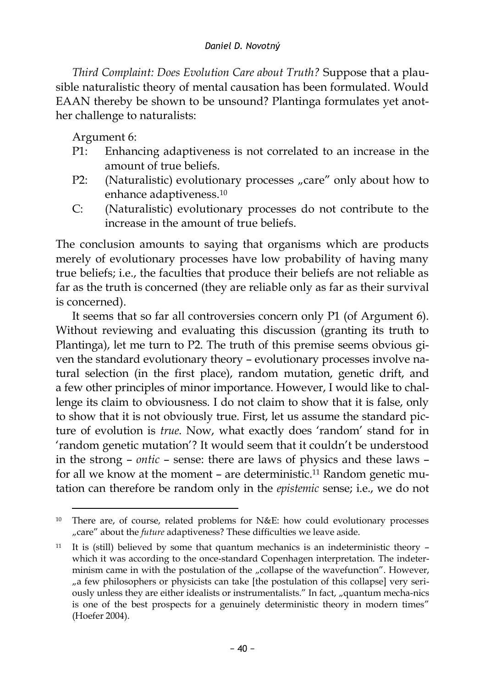#### *Daniel D. Novotný*

*Third Complaint: Does Evolution Care about Truth?* Suppose that a plausible naturalistic theory of mental causation has been formulated. Would EAAN thereby be shown to be unsound? Plantinga formulates yet another challenge to naturalists:

Argument 6:

 $\overline{a}$ 

- P1: Enhancing adaptiveness is not correlated to an increase in the amount of true beliefs.
- P2: (Naturalistic) evolutionary processes "care" only about how to enhance adaptiveness. 10
- C: (Naturalistic) evolutionary processes do not contribute to the increase in the amount of true beliefs.

The conclusion amounts to saying that organisms which are products merely of evolutionary processes have low probability of having many true beliefs; i.e., the faculties that produce their beliefs are not reliable as far as the truth is concerned (they are reliable only as far as their survival is concerned).

It seems that so far all controversies concern only P1 (of Argument 6). Without reviewing and evaluating this discussion (granting its truth to Plantinga), let me turn to P2. The truth of this premise seems obvious given the standard evolutionary theory – evolutionary processes involve natural selection (in the first place), random mutation, genetic drift, and a few other principles of minor importance. However, I would like to challenge its claim to obviousness. I do not claim to show that it is false, only to show that it is not obviously true. First, let us assume the standard picture of evolution is *true*. Now, what exactly does 'random' stand for in 'random genetic mutation'? It would seem that it couldn't be understood in the strong – *ontic* – sense: there are laws of physics and these laws – for all we know at the moment – are deterministic. <sup>11</sup> Random genetic mutation can therefore be random only in the *epistemic* sense; i.e., we do not

There are, of course, related problems for N&E: how could evolutionary processes "care" about the *future* adaptiveness? These difficulties we leave aside.

 $11$  It is (still) believed by some that quantum mechanics is an indeterministic theory  $$ which it was according to the once-standard Copenhagen interpretation. The indeterminism came in with the postulation of the "collapse of the wavefunction". However, "a few philosophers or physicists can take [the postulation of this collapse] very seriously unless they are either idealists or instrumentalists." In fact, "quantum mecha-nics is one of the best prospects for a genuinely deterministic theory in modern times" (Hoefer 2004).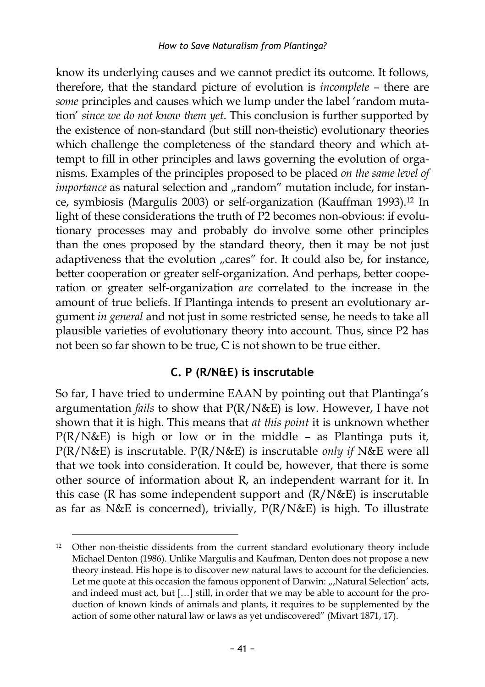know its underlying causes and we cannot predict its outcome. It follows, therefore, that the standard picture of evolution is *incomplete* – there are *some* principles and causes which we lump under the label 'random mutation' *since we do not know them yet*. This conclusion is further supported by the existence of non-standard (but still non-theistic) evolutionary theories which challenge the completeness of the standard theory and which attempt to fill in other principles and laws governing the evolution of organisms. Examples of the principles proposed to be placed *on the same level of importance* as natural selection and "random" mutation include, for instance, symbiosis (Margulis 2003) or self-organization (Kauffman 1993). <sup>12</sup> In light of these considerations the truth of P2 becomes non-obvious: if evolutionary processes may and probably do involve some other principles than the ones proposed by the standard theory, then it may be not just adaptiveness that the evolution "cares" for. It could also be, for instance, better cooperation or greater self-organization. And perhaps, better cooperation or greater self-organization *are* correlated to the increase in the amount of true beliefs. If Plantinga intends to present an evolutionary argument *in general* and not just in some restricted sense, he needs to take all plausible varieties of evolutionary theory into account. Thus, since P2 has not been so far shown to be true, C is not shown to be true either.

### **C. P (R/N&E) is inscrutable**

So far, I have tried to undermine EAAN by pointing out that Plantinga's argumentation *fails* to show that P(R/N&E) is low. However, I have not shown that it is high. This means that *at this point* it is unknown whether  $P(R/N\&E)$  is high or low or in the middle – as Plantinga puts it, P(R/N&E) is inscrutable. P(R/N&E) is inscrutable *only if* N&E were all that we took into consideration. It could be, however, that there is some other source of information about R, an independent warrant for it. In this case (R has some independent support and (R/N&E) is inscrutable as far as N&E is concerned), trivially, P(R/N&E) is high. To illustrate

 $\overline{a}$ <sup>12</sup> Other non-theistic dissidents from the current standard evolutionary theory include Michael Denton (1986). Unlike Margulis and Kaufman, Denton does not propose a new theory instead. His hope is to discover new natural laws to account for the deficiencies. Let me quote at this occasion the famous opponent of Darwin: "Natural Selection' acts, and indeed must act, but […] still, in order that we may be able to account for the production of known kinds of animals and plants, it requires to be supplemented by the action of some other natural law or laws as yet undiscovered" (Mivart 1871, 17).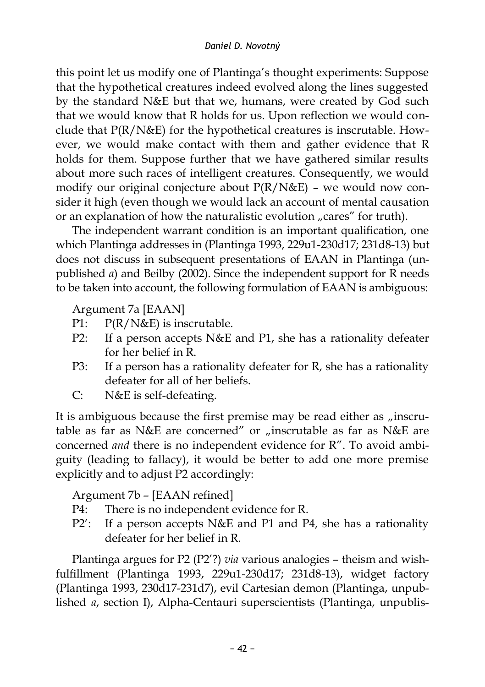this point let us modify one of Plantinga's thought experiments: Suppose that the hypothetical creatures indeed evolved along the lines suggested by the standard N&E but that we, humans, were created by God such that we would know that R holds for us. Upon reflection we would conclude that P(R/N&E) for the hypothetical creatures is inscrutable. However, we would make contact with them and gather evidence that R holds for them. Suppose further that we have gathered similar results about more such races of intelligent creatures. Consequently, we would modify our original conjecture about P(R/N&E) – we would now consider it high (even though we would lack an account of mental causation or an explanation of how the naturalistic evolution "cares" for truth).

The independent warrant condition is an important qualification, one which Plantinga addresses in (Plantinga 1993, 229u1-230d17; 231d8-13) but does not discuss in subsequent presentations of EAAN in Plantinga (unpublished *a*) and Beilby (2002). Since the independent support for R needs to be taken into account, the following formulation of EAAN is ambiguous:

Argument 7a [EAAN]

- P1:  $P(R/N\&E)$  is inscrutable.
- P2: If a person accepts N&E and P1, she has a rationality defeater for her belief in R.
- P3: If a person has a rationality defeater for R, she has a rationality defeater for all of her beliefs.
- C: N&E is self-defeating.

It is ambiguous because the first premise may be read either as "inscrutable as far as N&E are concerned" or "inscrutable as far as N&E are concerned *and* there is no independent evidence for R". To avoid ambiguity (leading to fallacy), it would be better to add one more premise explicitly and to adjust P2 accordingly:

Argument 7b – [EAAN refined]

- P4: There is no independent evidence for R.
- P2': If a person accepts N&E and P1 and P4, she has a rationality defeater for her belief in R.

Plantinga argues for P2 (P2'?) *via* various analogies – theism and wishfulfillment (Plantinga 1993, 229u1-230d17; 231d8-13), widget factory (Plantinga 1993, 230d17-231d7), evil Cartesian demon (Plantinga, unpublished *a*, section I), Alpha-Centauri superscientists (Plantinga, unpublis-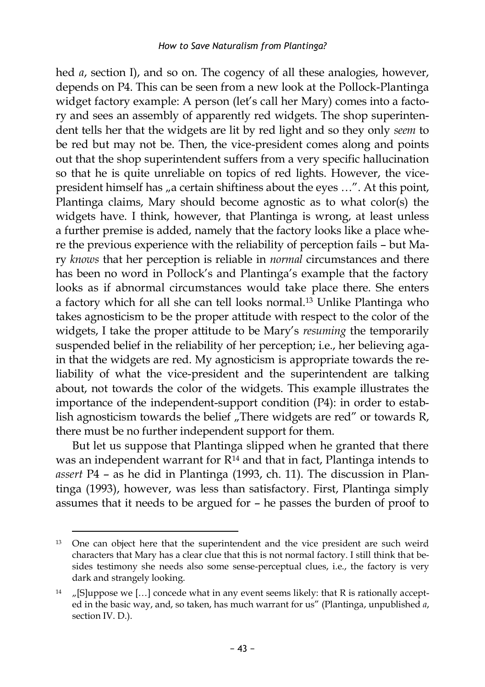hed *a*, section I), and so on. The cogency of all these analogies, however, depends on P4. This can be seen from a new look at the Pollock-Plantinga widget factory example: A person (let's call her Mary) comes into a factory and sees an assembly of apparently red widgets. The shop superintendent tells her that the widgets are lit by red light and so they only *seem* to be red but may not be. Then, the vice-president comes along and points out that the shop superintendent suffers from a very specific hallucination so that he is quite unreliable on topics of red lights. However, the vicepresident himself has "a certain shiftiness about the eyes ...". At this point, Plantinga claims, Mary should become agnostic as to what color(s) the widgets have. I think, however, that Plantinga is wrong, at least unless a further premise is added, namely that the factory looks like a place where the previous experience with the reliability of perception fails – but Mary *knows* that her perception is reliable in *normal* circumstances and there has been no word in Pollock's and Plantinga's example that the factory looks as if abnormal circumstances would take place there. She enters a factory which for all she can tell looks normal. <sup>13</sup> Unlike Plantinga who takes agnosticism to be the proper attitude with respect to the color of the widgets, I take the proper attitude to be Mary's *resuming* the temporarily suspended belief in the reliability of her perception; i.e., her believing again that the widgets are red. My agnosticism is appropriate towards the reliability of what the vice-president and the superintendent are talking about, not towards the color of the widgets. This example illustrates the importance of the independent-support condition (P4): in order to establish agnosticism towards the belief  $n$ . There widgets are red" or towards R, there must be no further independent support for them.

But let us suppose that Plantinga slipped when he granted that there was an independent warrant for  $R^{14}$  and that in fact, Plantinga intends to *assert* P4 – as he did in Plantinga (1993, ch. 11). The discussion in Plantinga (1993), however, was less than satisfactory. First, Plantinga simply assumes that it needs to be argued for – he passes the burden of proof to

 $\overline{a}$ <sup>13</sup> One can object here that the superintendent and the vice president are such weird characters that Mary has a clear clue that this is not normal factory. I still think that besides testimony she needs also some sense-perceptual clues, i.e., the factory is very dark and strangely looking.

<sup>&</sup>lt;sup>14</sup>  $\mu$ [S]uppose we [...] concede what in any event seems likely: that R is rationally accepted in the basic way, and, so taken, has much warrant for us" (Plantinga, unpublished *a*, section IV. D.).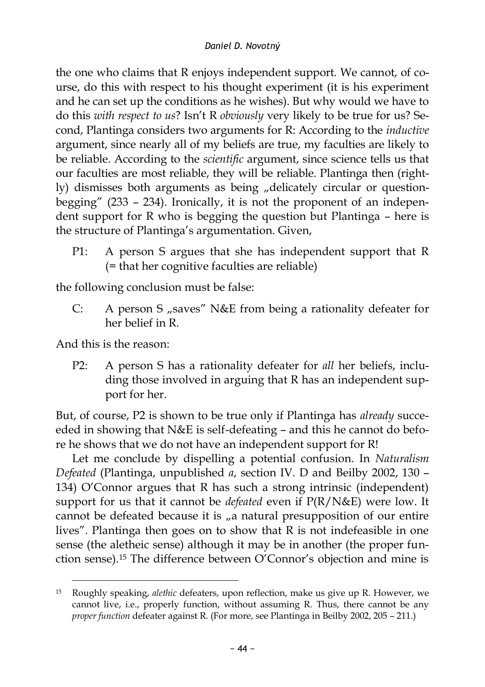the one who claims that R enjoys independent support. We cannot, of course, do this with respect to his thought experiment (it is his experiment and he can set up the conditions as he wishes). But why would we have to do this *with respect to us*? Isn't R *obviously* very likely to be true for us? Second, Plantinga considers two arguments for R: According to the *inductive* argument, since nearly all of my beliefs are true, my faculties are likely to be reliable. According to the *scientific* argument, since science tells us that our faculties are most reliable, they will be reliable. Plantinga then (rightly) dismisses both arguments as being "delicately circular or questionbegging" (233 – 234). Ironically, it is not the proponent of an independent support for R who is begging the question but Plantinga – here is the structure of Plantinga's argumentation. Given,

P1: A person S argues that she has independent support that R (= that her cognitive faculties are reliable)

the following conclusion must be false:

C: A person S "saves" N&E from being a rationality defeater for her belief in R.

And this is the reason:

P2: A person S has a rationality defeater for *all* her beliefs, including those involved in arguing that R has an independent support for her.

But, of course, P2 is shown to be true only if Plantinga has *already* succeeded in showing that N&E is self-defeating – and this he cannot do before he shows that we do not have an independent support for R!

Let me conclude by dispelling a potential confusion. In *Naturalism Defeated* (Plantinga, unpublished *a*, section IV. D and Beilby 2002, 130 – 134) O'Connor argues that R has such a strong intrinsic (independent) support for us that it cannot be *defeated* even if P(R/N&E) were low. It cannot be defeated because it is "a natural presupposition of our entire lives". Plantinga then goes on to show that R is not indefeasible in one sense (the aletheic sense) although it may be in another (the proper function sense). <sup>15</sup> The difference between O'Connor's objection and mine is

<sup>15</sup> Roughly speaking, *alethic* defeaters, upon reflection, make us give up R. However, we cannot live, i.e., properly function, without assuming R. Thus, there cannot be any *proper function* defeater against R. (For more, see Plantinga in Beilby 2002, 205 – 211.)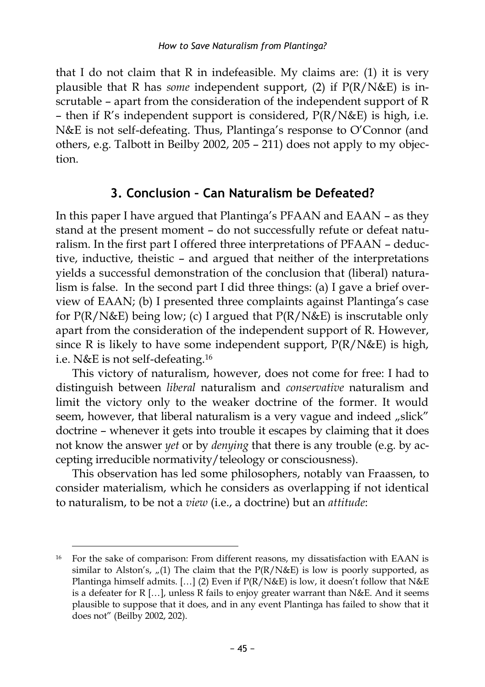that I do not claim that R in indefeasible. My claims are: (1) it is very plausible that R has *some* independent support, (2) if P(R/N&E) is inscrutable – apart from the consideration of the independent support of R – then if  $R$ 's independent support is considered,  $P(R/N\&E)$  is high, i.e. N&E is not self-defeating. Thus, Plantinga's response to O'Connor (and others, e.g. Talbott in Beilby 2002, 205 – 211) does not apply to my objection.

## **3. Conclusion – Can Naturalism be Defeated?**

In this paper I have argued that Plantinga's PFAAN and EAAN – as they stand at the present moment – do not successfully refute or defeat naturalism. In the first part I offered three interpretations of PFAAN – deductive, inductive, theistic – and argued that neither of the interpretations yields a successful demonstration of the conclusion that (liberal) naturalism is false. In the second part I did three things: (a) I gave a brief overview of EAAN; (b) I presented three complaints against Plantinga's case for  $P(R/N\&E)$  being low; (c) I argued that  $P(R/N\&E)$  is inscrutable only apart from the consideration of the independent support of R. However, since R is likely to have some independent support, P(R/N&E) is high, i.e. N&E is not self-defeating. 16

This victory of naturalism, however, does not come for free: I had to distinguish between *liberal* naturalism and *conservative* naturalism and limit the victory only to the weaker doctrine of the former. It would seem, however, that liberal naturalism is a very vague and indeed "slick" doctrine – whenever it gets into trouble it escapes by claiming that it does not know the answer *yet* or by *denying* that there is any trouble (e.g. by accepting irreducible normativity/teleology or consciousness).

This observation has led some philosophers, notably van Fraassen, to consider materialism, which he considers as overlapping if not identical to naturalism, to be not a *view* (i.e., a doctrine) but an *attitude*:

<sup>&</sup>lt;sup>16</sup> For the sake of comparison: From different reasons, my dissatisfaction with EAAN is similar to Alston's,  $\pi$ (1) The claim that the P(R/N&E) is low is poorly supported, as Plantinga himself admits. [...] (2) Even if  $P(R/N\&E)$  is low, it doesn't follow that  $N\&E$ is a defeater for R […], unless R fails to enjoy greater warrant than N&E. And it seems plausible to suppose that it does, and in any event Plantinga has failed to show that it does not" (Beilby 2002, 202).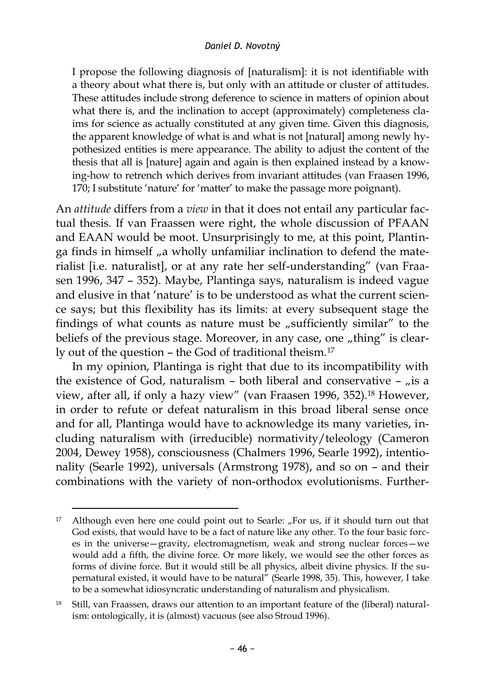#### *Daniel D. Novotný*

I propose the following diagnosis of [naturalism]: it is not identifiable with a theory about what there is, but only with an attitude or cluster of attitudes. These attitudes include strong deference to science in matters of opinion about what there is, and the inclination to accept (approximately) completeness claims for science as actually constituted at any given time. Given this diagnosis, the apparent knowledge of what is and what is not [natural] among newly hypothesized entities is mere appearance. The ability to adjust the content of the thesis that all is [nature] again and again is then explained instead by a knowing-how to retrench which derives from invariant attitudes (van Fraasen 1996, 170; I substitute 'nature' for 'matter' to make the passage more poignant).

An *attitude* differs from a *view* in that it does not entail any particular factual thesis. If van Fraassen were right, the whole discussion of PFAAN and EAAN would be moot. Unsurprisingly to me, at this point, Plantinga finds in himself "a wholly unfamiliar inclination to defend the materialist [i.e. naturalist], or at any rate her self-understanding" (van Fraasen 1996, 347 – 352). Maybe, Plantinga says, naturalism is indeed vague and elusive in that 'nature' is to be understood as what the current science says; but this flexibility has its limits: at every subsequent stage the findings of what counts as nature must be "sufficiently similar" to the beliefs of the previous stage. Moreover, in any case, one "thing" is clearly out of the question – the God of traditional theism. 17

In my opinion, Plantinga is right that due to its incompatibility with the existence of God, naturalism – both liberal and conservative –  $\mu$  is a view, after all, if only a hazy view" (van Fraasen 1996, 352). <sup>18</sup> However, in order to refute or defeat naturalism in this broad liberal sense once and for all, Plantinga would have to acknowledge its many varieties, including naturalism with (irreducible) normativity/teleology (Cameron 2004, Dewey 1958), consciousness (Chalmers 1996, Searle 1992), intentionality (Searle 1992), universals (Armstrong 1978), and so on – and their combinations with the variety of non-orthodox evolutionisms. Further-

<sup>&</sup>lt;sup>17</sup> Although even here one could point out to Searle: "For us, if it should turn out that God exists, that would have to be a fact of nature like any other. To the four basic forces in the universe—gravity, electromagnetism, weak and strong nuclear forces—we would add a fifth, the divine force. Or more likely, we would see the other forces as forms of divine force. But it would still be all physics, albeit divine physics. If the supernatural existed, it would have to be natural" (Searle 1998, 35). This, however, I take to be a somewhat idiosyncratic understanding of naturalism and physicalism.

<sup>&</sup>lt;sup>18</sup> Still, van Fraassen, draws our attention to an important feature of the (liberal) naturalism: ontologically, it is (almost) vacuous (see also Stroud 1996).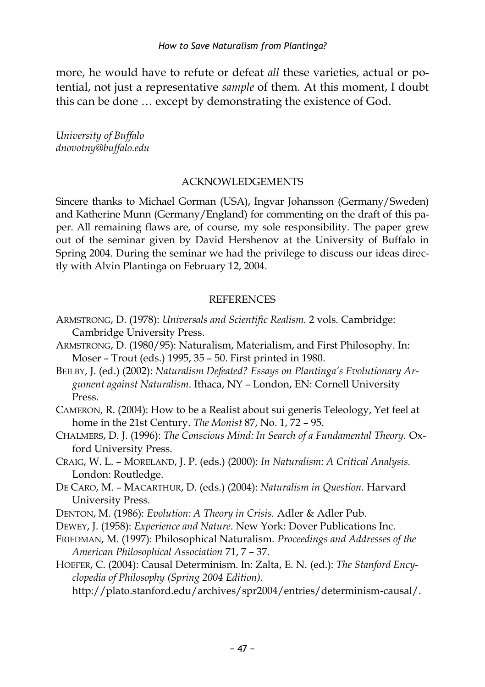more, he would have to refute or defeat *all* these varieties, actual or potential, not just a representative *sample* of them. At this moment, I doubt this can be done … except by demonstrating the existence of God.

*University of Buffalo dnovotny@buffalo.edu*

#### ACKNOWLEDGEMENTS

Sincere thanks to Michael Gorman (USA), Ingvar Johansson (Germany/Sweden) and Katherine Munn (Germany/England) for commenting on the draft of this paper. All remaining flaws are, of course, my sole responsibility. The paper grew out of the seminar given by David Hershenov at the University of Buffalo in Spring 2004. During the seminar we had the privilege to discuss our ideas directly with Alvin Plantinga on February 12, 2004.

#### **REFERENCES**

- ARMSTRONG, D. (1978): *Universals and Scientific Realism.* 2 vols. Cambridge: Cambridge University Press.
- ARMSTRONG, D. (1980/95): Naturalism, Materialism, and First Philosophy. In: Moser – Trout (eds.) 1995, 35 – 50. First printed in 1980.
- BEILBY, J. (ed.) (2002): *Naturalism Defeated? Essays on Plantinga's Evolutionary Argument against Naturalism*. Ithaca, NY – London, EN: Cornell University Press.
- CAMERON, R. (2004): How to be a Realist about sui generis Teleology, Yet feel at home in the 21st Century. *The Monist* 87, No. 1, 72 – 95.
- CHALMERS, D. J. (1996): *The Conscious Mind: In Search of a Fundamental Theory.* Oxford University Press.
- CRAIG, W. L. MORELAND, J. P. (eds.) (2000): *In Naturalism: A Critical Analysis.*  London: Routledge.
- DE CARO, M. MACARTHUR, D. (eds.) (2004): *Naturalism in Question.* Harvard University Press.
- DENTON, M. (1986): *Evolution: A Theory in Crisis.* Adler & Adler Pub.
- DEWEY, J. (1958): *Experience and Nature*. New York: Dover Publications Inc.
- FRIEDMAN, M. (1997): Philosophical Naturalism. *Proceedings and Addresses of the American Philosophical Association* 71, 7 – 37.
- HOEFER, C. (2004): Causal Determinism. In: Zalta, E. N. (ed.): *The Stanford Encyclopedia of Philosophy (Spring 2004 Edition)*.

http://plato.stanford.edu/archives/spr2004/entries/determinism-causal/.